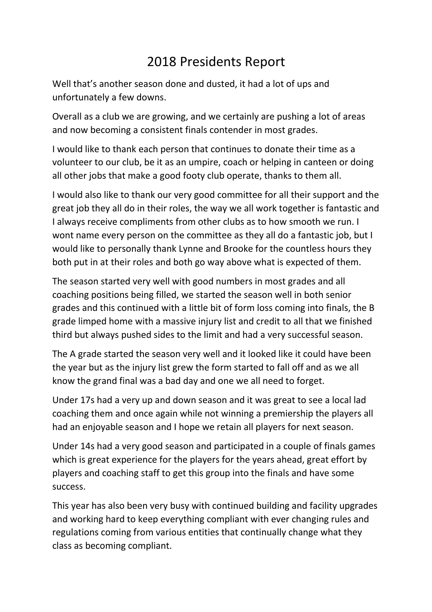## 2018 Presidents Report

Well that's another season done and dusted, it had a lot of ups and unfortunately a few downs.

Overall as a club we are growing, and we certainly are pushing a lot of areas and now becoming a consistent finals contender in most grades.

I would like to thank each person that continues to donate their time as a volunteer to our club, be it as an umpire, coach or helping in canteen or doing all other jobs that make a good footy club operate, thanks to them all.

I would also like to thank our very good committee for all their support and the great job they all do in their roles, the way we all work together is fantastic and I always receive compliments from other clubs as to how smooth we run. I wont name every person on the committee as they all do a fantastic job, but I would like to personally thank Lynne and Brooke for the countless hours they both put in at their roles and both go way above what is expected of them.

The season started very well with good numbers in most grades and all coaching positions being filled, we started the season well in both senior grades and this continued with a little bit of form loss coming into finals, the B grade limped home with a massive injury list and credit to all that we finished third but always pushed sides to the limit and had a very successful season.

The A grade started the season very well and it looked like it could have been the year but as the injury list grew the form started to fall off and as we all know the grand final was a bad day and one we all need to forget.

Under 17s had a very up and down season and it was great to see a local lad coaching them and once again while not winning a premiership the players all had an enjoyable season and I hope we retain all players for next season.

Under 14s had a very good season and participated in a couple of finals games which is great experience for the players for the years ahead, great effort by players and coaching staff to get this group into the finals and have some success.

This year has also been very busy with continued building and facility upgrades and working hard to keep everything compliant with ever changing rules and regulations coming from various entities that continually change what they class as becoming compliant.